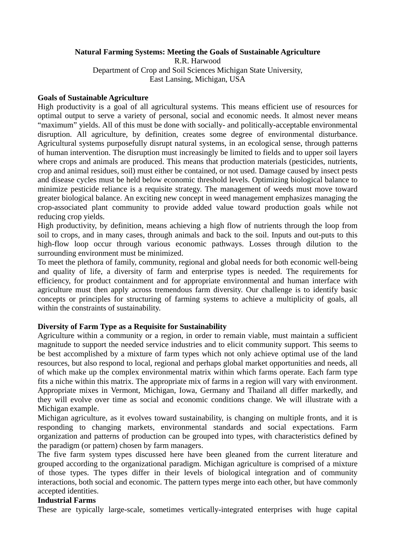# **Natural Farming Systems: Meeting the Goals of Sustainable Agriculture**

R.R. Harwood Department of Crop and Soil Sciences Michigan State University, East Lansing, Michigan, USA

## **Goals of Sustainable Agriculture**

High productivity is a goal of all agricultural systems. This means efficient use of resources for optimal output to serve a variety of personal, social and economic needs. It almost never means "maximum" yields. All of this must be done with socially- and politically-acceptable environmental disruption. All agriculture, by definition, creates some degree of environmental disturbance. Agricultural systems purposefully disrupt natural systems, in an ecological sense, through patterns of human intervention. The disruption must increasingly be limited to fields and to upper soil layers where crops and animals are produced. This means that production materials (pesticides, nutrients, crop and animal residues, soil) must either be contained, or not used. Damage caused by insect pests and disease cycles must be held below economic threshold levels. Optimizing biological balance to minimize pesticide reliance is a requisite strategy. The management of weeds must move toward greater biological balance. An exciting new concept in weed management emphasizes managing the crop-associated plant community to provide added value toward production goals while not reducing crop yields.

High productivity, by definition, means achieving a high flow of nutrients through the loop from soil to crops, and in many cases, through animals and back to the soil. Inputs and out-puts to this high-flow loop occur through various economic pathways. Losses through dilution to the surrounding environment must be minimized.

To meet the plethora of family, community, regional and global needs for both economic well-being and quality of life, a diversity of farm and enterprise types is needed. The requirements for efficiency, for product containment and for appropriate environmental and human interface with agriculture must then apply across tremendous farm diversity. Our challenge is to identify basic concepts or principles for structuring of farming systems to achieve a multiplicity of goals, all within the constraints of sustainability.

## **Diversity of Farm Type as a Requisite for Sustainability**

Agriculture within a community or a region, in order to remain viable, must maintain a sufficient magnitude to support the needed service industries and to elicit community support. This seems to be best accomplished by a mixture of farm types which not only achieve optimal use of the land resources, but also respond to local, regional and perhaps global market opportunities and needs, all of which make up the complex environmental matrix within which farms operate. Each farm type fits a niche within this matrix. The appropriate mix of farms in a region will vary with environment. Appropriate mixes in Vermont, Michigan, Iowa, Germany and Thailand all differ markedly, and they will evolve over time as social and economic conditions change. We will illustrate with a Michigan example.

Michigan agriculture, as it evolves toward sustainability, is changing on multiple fronts, and it is responding to changing markets, environmental standards and social expectations. Farm organization and patterns of production can be grouped into types, with characteristics defined by the paradigm (or pattern) chosen by farm managers.

The five farm system types discussed here have been gleaned from the current literature and grouped according to the organizational paradigm. Michigan agriculture is comprised of a mixture of those types. The types differ in their levels of biological integration and of community interactions, both social and economic. The pattern types merge into each other, but have commonly accepted identities.

# **Industrial Farms**

These are typically large-scale, sometimes vertically-integrated enterprises with huge capital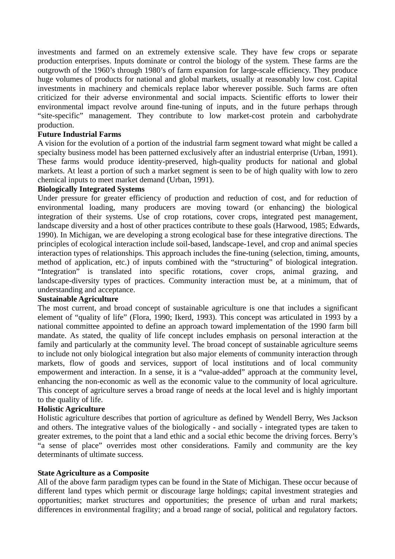investments and farmed on an extremely extensive scale. They have few crops or separate production enterprises. Inputs dominate or control the biology of the system. These farms are the outgrowth of the 1960's through 1980's of farm expansion for large-scale efficiency. They produce huge volumes of products for national and global markets, usually at reasonably low cost. Capital investments in machinery and chemicals replace labor wherever possible. Such farms are often criticized for their adverse environmental and social impacts. Scientific efforts to lower their environmental impact revolve around fine-tuning of inputs, and in the future perhaps through "site-specific" management. They contribute to low market-cost protein and carbohydrate production.

## **Future Industrial Farms**

A vision for the evolution of a portion of the industrial farm segment toward what might be called a specialty business model has been patterned exclusively after an industrial enterprise (Urban, 1991). These farms would produce identity-preserved, high-quality products for national and global markets. At least a portion of such a market segment is seen to be of high quality with low to zero chemical inputs to meet market demand (Urban, 1991).

## **Biologically Integrated Systems**

Under pressure for greater efficiency of production and reduction of cost, and for reduction of environmental loading, many producers are moving toward (or enhancing) the biological integration of their systems. Use of crop rotations, cover crops, integrated pest management, landscape diversity and a host of other practices contribute to these goals (Harwood, 1985; Edwards, 1990). In Michigan, we are developing a strong ecological base for these integrative directions. The principles of ecological interaction include soil-based, landscape-1evel, and crop and animal species interaction types of relationships. This approach includes the fine-tuning (selection, timing, amounts, method of application, etc.) of inputs combined with the "structuring" of biological integration. "Integration" is translated into specific rotations, cover crops, animal grazing, and landscape-diversity types of practices. Community interaction must be, at a minimum, that of understanding and acceptance.

# **Sustainable Agriculture**

The most current, and broad concept of sustainable agriculture is one that includes a significant element of "quality of life" (Flora, 1990; Ikerd, 1993). This concept was articulated in 1993 by a national committee appointed to define an approach toward implementation of the 1990 farm bill mandate. As stated, the quality of life concept includes emphasis on personal interaction at the family and particularly at the community level. The broad concept of sustainable agriculture seems to include not only biological integration but also major elements of community interaction through markets, flow of goods and services, support of local institutions and of local community empowerment and interaction. In a sense, it is a "value-added" approach at the community level, enhancing the non-economic as well as the economic value to the community of local agriculture. This concept of agriculture serves a broad range of needs at the local level and is highly important to the quality of life.

# **Holistic Agriculture**

Holistic agriculture describes that portion of agriculture as defined by Wendell Berry, Wes Jackson and others. The integrative values of the biologically - and socially - integrated types are taken to greater extremes, to the point that a land ethic and a social ethic become the driving forces. Berry's "a sense of place" overrides most other considerations. Family and community are the key determinants of ultimate success.

## **State Agriculture as a Composite**

All of the above farm paradigm types can be found in the State of Michigan. These occur because of different land types which permit or discourage large holdings; capital investment strategies and opportunities; market structures and opportunities; the presence of urban and rural markets; differences in environmental fragility; and a broad range of social, political and regulatory factors.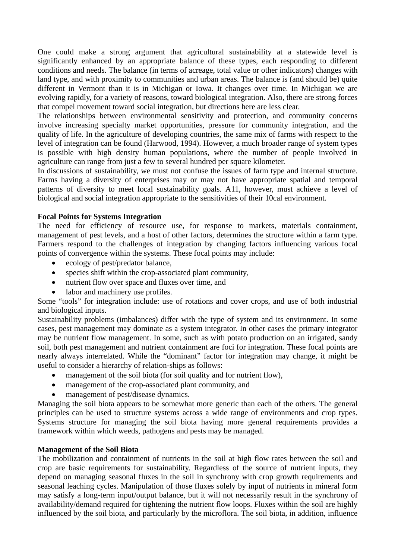One could make a strong argument that agricultural sustainability at a statewide level is significantly enhanced by an appropriate balance of these types, each responding to different conditions and needs. The balance (in terms of acreage, total value or other indicators) changes with land type, and with proximity to communities and urban areas. The balance is (and should be) quite different in Vermont than it is in Michigan or Iowa. It changes over time. In Michigan we are evolving rapidly, for a variety of reasons, toward biological integration. Also, there are strong forces that compel movement toward social integration, but directions here are less clear.

The relationships between environmental sensitivity and protection, and community concerns involve increasing specialty market opportunities, pressure for community integration, and the quality of life. In the agriculture of developing countries, the same mix of farms with respect to the level of integration can be found (Harwood, 1994). However, a much broader range of system types is possible with high density human populations, where the number of people involved in agriculture can range from just a few to several hundred per square kilometer.

In discussions of sustainability, we must not confuse the issues of farm type and internal structure. Farms having a diversity of enterprises may or may not have appropriate spatial and temporal patterns of diversity to meet local sustainability goals. A11, however, must achieve a level of biological and social integration appropriate to the sensitivities of their 10cal environment.

# **Focal Points for Systems Integration**

The need for efficiency of resource use, for response to markets, materials containment, management of pest levels, and a host of other factors, determines the structure within a farm type. Farmers respond to the challenges of integration by changing factors influencing various focal points of convergence within the systems. These focal points may include:

- ecology of pest/predator balance,
- species shift within the crop-associated plant community,
- $\bullet$ nutrient flow over space and fluxes over time, and
- labor and machinery use profiles.

Some "tools" for integration include: use of rotations and cover crops, and use of both industrial and biological inputs.

Sustainability problems (imbalances) differ with the type of system and its environment. In some cases, pest management may dominate as a system integrator. In other cases the primary integrator may be nutrient flow management. In some, such as with potato production on an irrigated, sandy soil, both pest management and nutrient containment are foci for integration. These focal points are nearly always interrelated. While the "dominant" factor for integration may change, it might be useful to consider a hierarchy of relation-ships as follows:

- management of the soil biota (for soil quality and for nutrient flow),
- $\bullet$ management of the crop-associated plant community, and
- management of pest/disease dynamics.

Managing the soil biota appears to be somewhat more generic than each of the others. The general principles can be used to structure systems across a wide range of environments and crop types. Systems structure for managing the soil biota having more general requirements provides a framework within which weeds, pathogens and pests may be managed.

## **Management of the Soil Biota**

The mobilization and containment of nutrients in the soil at high flow rates between the soil and crop are basic requirements for sustainability. Regardless of the source of nutrient inputs, they depend on managing seasonal fluxes in the soil in synchrony with crop growth requirements and seasonal leaching cycles. Manipulation of those fluxes solely by input of nutrients in mineral form may satisfy a long-term input/output balance, but it will not necessarily result in the synchrony of availability/demand required for tightening the nutrient flow loops. Fluxes within the soil are highly influenced by the soil biota, and particularly by the microflora. The soil biota, in addition, influence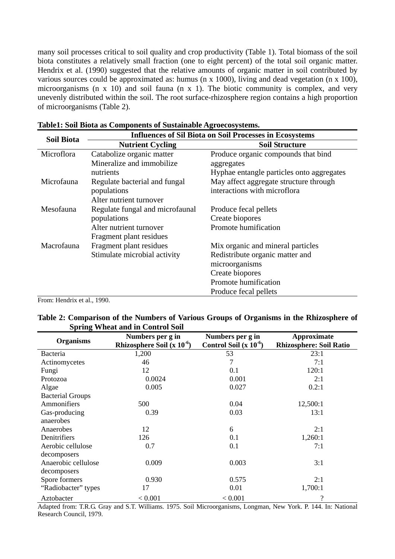many soil processes critical to soil quality and crop productivity (Table 1). Total biomass of the soil biota constitutes a relatively small fraction (one to eight percent) of the total soil organic matter. Hendrix et al. (1990) suggested that the relative amounts of organic matter in soil contributed by various sources could be approximated as: humus (n x 1000), living and dead vegetation (n x 100), microorganisms (n x 10) and soil fauna (n x 1). The biotic community is complex, and very unevenly distributed within the soil. The root surface-rhizosphere region contains a high proportion of microorganisms (Table 2).

| <b>Soil Biota</b>  | <b>Influences of Sil Biota on Soil Processes in Ecosystems</b> |                                           |  |  |  |  |  |  |
|--------------------|----------------------------------------------------------------|-------------------------------------------|--|--|--|--|--|--|
|                    | <b>Nutrient Cycling</b>                                        | <b>Soil Structure</b>                     |  |  |  |  |  |  |
| Microflora         | Catabolize organic matter                                      | Produce organic compounds that bind       |  |  |  |  |  |  |
|                    | Mineralize and immobilize                                      | aggregates                                |  |  |  |  |  |  |
|                    | nutrients                                                      | Hyphae entangle particles onto aggregates |  |  |  |  |  |  |
| Microfauna         | Regulate bacterial and fungal                                  | May affect aggregate structure through    |  |  |  |  |  |  |
|                    | populations                                                    | interactions with microflora              |  |  |  |  |  |  |
|                    | Alter nutrient turnover                                        |                                           |  |  |  |  |  |  |
| Mesofauna          | Regulate fungal and microfaunal                                | Produce fecal pellets                     |  |  |  |  |  |  |
|                    | populations                                                    | Create biopores                           |  |  |  |  |  |  |
|                    | Alter nutrient turnover                                        | Promote humification                      |  |  |  |  |  |  |
|                    | Fragment plant residues                                        |                                           |  |  |  |  |  |  |
| Macrofauna         | Fragment plant residues                                        | Mix organic and mineral particles         |  |  |  |  |  |  |
|                    | Stimulate microbial activity                                   | Redistribute organic matter and           |  |  |  |  |  |  |
|                    |                                                                | microorganisms                            |  |  |  |  |  |  |
|                    |                                                                | Create biopores                           |  |  |  |  |  |  |
|                    |                                                                | Promote humification                      |  |  |  |  |  |  |
| -- - - - - - - - - |                                                                | Produce fecal pellets                     |  |  |  |  |  |  |

|  | Table1: Soil Biota as Components of Sustainable Agroecosystems. |
|--|-----------------------------------------------------------------|
|--|-----------------------------------------------------------------|

From: Hendrix et al., 1990.

| Table 2: Comparison of the Numbers of Various Groups of Organisms in the Rhizosphere of |  |  |  |  |  |
|-----------------------------------------------------------------------------------------|--|--|--|--|--|
| <b>Spring Wheat and in Control Soil</b>                                                 |  |  |  |  |  |

| <b>Organisms</b>        | Numbers per g in                | Numbers per g in           | Approximate<br><b>Rhizosphere: Soil Ratio</b> |  |  |
|-------------------------|---------------------------------|----------------------------|-----------------------------------------------|--|--|
|                         | Rhizosphere Soil (x $10^{-6}$ ) | Control Soil $(x 10^{-6})$ |                                               |  |  |
| <b>Bacteria</b>         | 1,200                           | 53                         | 23:1                                          |  |  |
| Actinomycetes           | 46                              | 7                          | 7:1                                           |  |  |
| Fungi                   | 12                              | 0.1                        | 120:1                                         |  |  |
| Protozoa                | 0.0024                          | 0.001                      | 2:1                                           |  |  |
| Algae                   | 0.005                           | 0.027                      | 0.2:1                                         |  |  |
| <b>Bacterial Groups</b> |                                 |                            |                                               |  |  |
| Ammonifiers             | 500                             | 0.04                       | 12,500:1                                      |  |  |
| Gas-producing           | 0.39                            | 0.03                       | 13:1                                          |  |  |
| anaerobes               |                                 |                            |                                               |  |  |
| Anaerobes               | 12                              | 6                          | 2:1                                           |  |  |
| Denitrifiers            | 126                             | 0.1                        | 1,260:1                                       |  |  |
| Aerobic cellulose       | 0.7                             | 0.1                        | 7:1                                           |  |  |
| decomposers             |                                 |                            |                                               |  |  |
| Anaerobic cellulose     | 0.009                           | 0.003                      | 3:1                                           |  |  |
| decomposers             |                                 |                            |                                               |  |  |
| Spore formers           | 0.930                           | 0.575                      | 2:1                                           |  |  |
| "Radiobacter" types     | 17                              | 0.01                       | 1,700:1                                       |  |  |
| Aztobacter              | < 0.001                         | < 0.001                    | $\overline{\mathcal{L}}$                      |  |  |

Adapted from: T.R.G. Gray and S.T. Williams. 1975. Soil Microorganisms, Longman, New York. P. 144. In: National Research Council, 1979.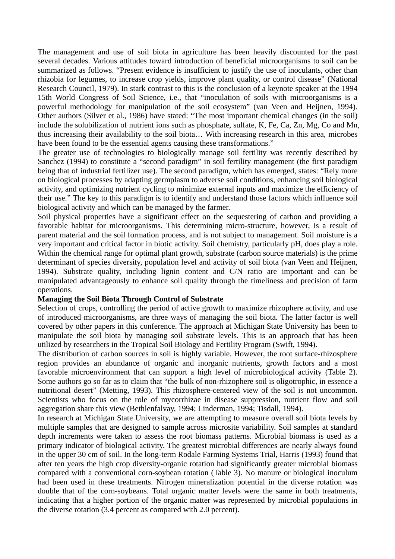The management and use of soil biota in agriculture has been heavily discounted for the past several decades. Various attitudes toward introduction of beneficial microorganisms to soil can be summarized as follows. "Present evidence is insufficient to justify the use of inoculants, other than rhizobia for legumes, to increase crop yields, improve plant quality, or control disease" (National Research Council, 1979). In stark contrast to this is the conclusion of a keynote speaker at the 1994 15th World Congress of Soil Science, i.e., that "inoculation of soils with microorganisms is a powerful methodology for manipulation of the soil ecosystem" (van Veen and Heijnen, 1994). Other authors (Silver et al., 1986) have stated: "The most important chemical changes (in the soil) include the solubilization of nutrient ions such as phosphate, sulfate, K, Fe, Ca, Zn, Mg, Co and Mn, thus increasing their availability to the soil biota… With increasing research in this area, microbes have been found to be the essential agents causing these transformations."

The greater use of technologies to biologically manage soil fertility was recently described by Sanchez (1994) to constitute a "second paradigm" in soil fertility management (the first paradigm being that of industrial fertilizer use). The second paradigm, which has emerged, states: "Rely more on biological processes by adapting germplasm to adverse soil conditions, enhancing soil biological activity, and optimizing nutrient cycling to minimize external inputs and maximize the efficiency of their use." The key to this paradigm is to identify and understand those factors which influence soil biological activity and which can be managed by the farmer.

Soil physical properties have a significant effect on the sequestering of carbon and providing a favorable habitat for microorganisms. This determining micro-structure, however, is a result of parent material and the soil formation process, and is not subject to management. Soil moisture is a very important and critical factor in biotic activity. Soil chemistry, particularly pH, does play a role. Within the chemical range for optimal plant growth, substrate (carbon source materials) is the prime determinant of species diversity, population level and activity of soil biota (van Veen and Heijnen, 1994). Substrate quality, including lignin content and C/N ratio are important and can be manipulated advantageously to enhance soil quality through the timeliness and precision of farm operations.

#### **Managing the Soil Biota Through Control of Substrate**

Selection of crops, controlling the period of active growth to maximize rhizophere activity, and use of introduced microorganisms, are three ways of managing the soil biota. The latter factor is well covered by other papers in this conference. The approach at Michigan State University has been to manipulate the soil biota by managing soil substrate levels. This is an approach that has been utilized by researchers in the Tropical Soil Biology and Fertility Program (Swift, 1994).

The distribution of carbon sources in soil is highly variable. However, the root surface-rhizosphere region provides an abundance of organic and inorganic nutrients, growth factors and a most favorable microenvironment that can support a high level of microbiological activity (Table 2). Some authors go so far as to claim that "the bulk of non-rhizophere soil is oligotrophic, in essence a nutritional desert" (Metting, 1993). This rhizosphere-centered view of the soil is not uncommon. Scientists who focus on the role of mycorrhizae in disease suppression, nutrient flow and soil aggregation share this view (Bethlenfalvay, 1994; Linderman, 1994; Tisdall, 1994).

In research at Michigan State University, we are attempting to measure overall soil biota levels by multiple samples that are designed to sample across microsite variability. Soil samples at standard depth increments were taken to assess the root biomass patterns. Microbial biomass is used as a primary indicator of biological activity. The greatest microbial differences are nearly always found in the upper 30 cm of soil. In the long-term Rodale Farming Systems Trial, Harris (1993) found that after ten years the high crop diversity-organic rotation had significantly greater microbial biomass compared with a conventional corn-soybean rotation (Table 3). No manure or biological inoculum had been used in these treatments. Nitrogen mineralization potential in the diverse rotation was double that of the corn-soybeans. Total organic matter levels were the same in both treatments, indicating that a higher portion of the organic matter was represented by microbial populations in the diverse rotation (3.4 percent as compared with 2.0 percent).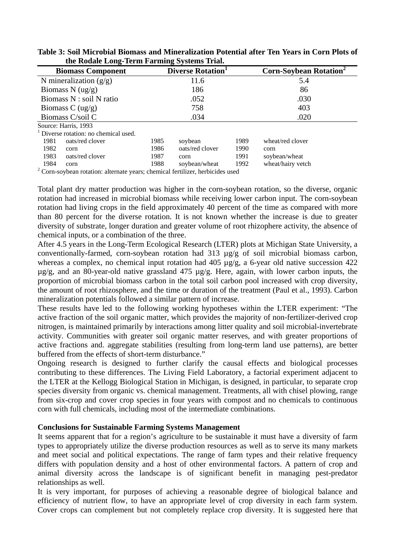| the Kouale Long-Term Farming bysiems Trian                                          |                         |                 |      |                                          |  |  |
|-------------------------------------------------------------------------------------|-------------------------|-----------------|------|------------------------------------------|--|--|
| <b>Biomass Component</b>                                                            | <b>Diverse Rotation</b> |                 |      | <b>Corn-Soybean Rotation<sup>2</sup></b> |  |  |
| N mineralization $(g/g)$                                                            |                         | 11.6            |      | 5.4                                      |  |  |
| Biomass N $(ug/g)$                                                                  | 186                     |                 |      | 86                                       |  |  |
| Biomass N : soil N ratio                                                            | .052                    |                 |      | .030                                     |  |  |
| Biomass C $\left(\frac{ug}{g}\right)$                                               | 758                     |                 |      | 403                                      |  |  |
| Biomass C/soil C                                                                    | .034                    |                 |      | .020                                     |  |  |
| Source: Harris, 1993                                                                |                         |                 |      |                                          |  |  |
| Diverse rotation: no chemical used.                                                 |                         |                 |      |                                          |  |  |
| 1981<br>oats/red clover                                                             | 1985                    | soybean         | 1989 | wheat/red clover                         |  |  |
| 1982<br>corn                                                                        | 1986                    | oats/red clover | 1990 | corn                                     |  |  |
| 1983<br>oats/red clover                                                             | 1987                    | corn            | 1991 | soybean/wheat                            |  |  |
| 1984<br>corn                                                                        | 1988                    | soybean/wheat   | 1992 | wheat/hairy vetch                        |  |  |
| $^{2}$ Corn souhoon retation: elternete years; elemined fertilizer, herbieldes used |                         |                 |      |                                          |  |  |

**Table 3: Soil Microbial Biomass and Mineralization Potential after Ten Years in Corn Plots of the Rodale Long-Term Farming Systems Trial.** 

Corn-soybean rotation: alternate years; chemical fertilizer, herbicides used

Total plant dry matter production was higher in the corn-soybean rotation, so the diverse, organic rotation had increased in microbial biomass while receiving lower carbon input. The corn-soybean rotation had living crops in the field approximately 40 percent of the time as compared with more than 80 percent for the diverse rotation. It is not known whether the increase is due to greater diversity of substrate, longer duration and greater volume of root rhizophere activity, the absence of chemical inputs, or a combination of the three.

After 4.5 years in the Long-Term Ecological Research (LTER) plots at Michigan State University, a conventionally-farmed, corn-soybean rotation had 313 µg/g of soil microbial biomass carbon, whereas a complex, no chemical input rotation had 405  $\mu$ g/g, a 6-year old native succession 422  $\mu$ g/g, and an 80-year-old native grassland 475  $\mu$ g/g. Here, again, with lower carbon inputs, the proportion of microbial biomass carbon in the total soil carbon pool increased with crop diversity, the amount of root rhizosphere, and the time or duration of the treatment (Paul et al., 1993). Carbon mineralization potentials followed a similar pattern of increase.

These results have led to the following working hypotheses within the LTER experiment: "The active fraction of the soil organic matter, which provides the majority of non-fertilizer-derived crop nitrogen, is maintained primarily by interactions among litter quality and soil microbial-invertebrate activity. Communities with greater soil organic matter reserves, and with greater proportions of active fractions and. aggregate stabilities (resulting from long-term land use patterns), are better buffered from the effects of short-term disturbance."

Ongoing research is designed to further clarify the causal effects and biological processes contributing to these differences. The Living Field Laboratory, a factorial experiment adjacent to the LTER at the Kellogg Biological Station in Michigan, is designed, in particular, to separate crop species diversity from organic vs. chemical management. Treatments, all with chisel plowing, range from six-crop and cover crop species in four years with compost and no chemicals to continuous corn with full chemicals, including most of the intermediate combinations.

## **Conclusions for Sustainable Farming Systems Management**

It seems apparent that for a region's agriculture to be sustainable it must have a diversity of farm types to appropriately utilize the diverse production resources as well as to serve its many markets and meet social and political expectations. The range of farm types and their relative frequency differs with population density and a host of other environmental factors. A pattern of crop and animal diversity across the landscape is of significant benefit in managing pest-predator relationships as well.

It is very important, for purposes of achieving a reasonable degree of biological balance and efficiency of nutrient flow, to have an appropriate level of crop diversity in each farm system. Cover crops can complement but not completely replace crop diversity. It is suggested here that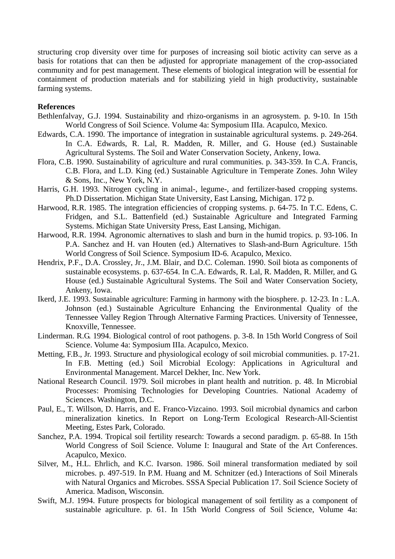structuring crop diversity over time for purposes of increasing soil biotic activity can serve as a basis for rotations that can then be adjusted for appropriate management of the crop-associated community and for pest management. These elements of biological integration will be essential for containment of production materials and for stabilizing yield in high productivity, sustainable farming systems.

### **References**

- Bethlenfalvay, G.J. 1994. Sustainability and rhizo-organisms in an agrosystem. p. 9-10. In 15th World Congress of Soil Science. Volume 4a: Symposium IIIa. Acapulco, Mexico.
- Edwards, C.A. 1990. The importance of integration in sustainable agricultural systems. p. 249-264. In C.A. Edwards, R. Lal, R. Madden, R. Miller, and G. House (ed.) Sustainable Agricultural Systems. The Soil and Water Conservation Society, Ankeny, Iowa.
- Flora, C.B. 1990. Sustainability of agriculture and rural communities. p. 343-359. In C.A. Francis, C.B. Flora, and L.D. King (ed.) Sustainable Agriculture in Temperate Zones. John Wiley & Sons, Inc., New York, N.Y.
- Harris, G.H. 1993. Nitrogen cycling in animal-, legume-, and fertilizer-based cropping systems. Ph.D Dissertation. Michigan State University, East Lansing, Michigan. 172 p.
- Harwood, R.R. 1985. The integration efficiencies of cropping systems. p. 64-75. In T.C. Edens, C. Fridgen, and S.L. Battenfield (ed.) Sustainable Agriculture and Integrated Farming Systems. Michigan State University Press, East Lansing, Michigan.
- Harwood, R.R. 1994. Agronomic alternatives to slash and burn in the humid tropics. p. 93-106. In P.A. Sanchez and H. van Houten (ed.) Alternatives to Slash-and-Burn Agriculture. 15th World Congress of Soil Science. Symposium ID-6. Acapulco, Mexico.
- Hendrix, P.F., D.A. Crossley, Jr., J.M. Blair, and D.C. Coleman. 1990. Soil biota as components of sustainable ecosystems. p. 637-654. In C.A. Edwards, R. Lal, R. Madden, R. Miller, and G. House (ed.) Sustainable Agricultural Systems. The Soil and Water Conservation Society, Ankeny, Iowa.
- Ikerd, J.E. 1993. Sustainable agriculture: Farming in harmony with the biosphere. p. 12-23. In : L.A. Johnson (ed.) Sustainable Agriculture Enhancing the Environmental Quality of the Tennessee Valley Region Through Alternative Farming Practices. University of Tennessee, Knoxville, Tennessee.
- Linderman. R.G. 1994. Biological control of root pathogens. p. 3-8. In 15th World Congress of Soil Science. Volume 4a: Symposium IIIa. Acapulco, Mexico.
- Metting, F.B., Jr. 1993. Structure and physiological ecology of soil microbial communities. p. 17-21. In F.B. Metting (ed.) Soil Microbial Ecology: Applications in Agricultural and Environmental Management. Marcel Dekher, Inc. New York.
- National Research Council. 1979. Soil microbes in plant health and nutrition. p. 48. In Microbial Processes: Promising Technologies for Developing Countries. National Academy of Sciences. Washington, D.C.
- Paul, E., T. Willson, D. Harris, and E. Franco-Vizcaino. 1993. Soil microbial dynamics and carbon mineralization kinetics. In Report on Long-Term Ecological Research-All-Scientist Meeting, Estes Park, Colorado.
- Sanchez, P.A. 1994. Tropical soil fertility research: Towards a second paradigm. p. 65-88. In 15th World Congress of Soil Science. Volume I: Inaugural and State of the Art Conferences. Acapulco, Mexico.
- Silver, M., H.L. Ehrlich, and K.C. Ivarson. 1986. Soil mineral transformation mediated by soil microbes. p. 497-519. In P.M. Huang and M. Schnitzer (ed.) Interactions of Soil Minerals with Natural Organics and Microbes. SSSA Special Publication 17. Soil Science Society of America. Madison, Wisconsin.
- Swift, M.J. 1994. Future prospects for biological management of soil fertility as a component of sustainable agriculture. p. 61. In 15th World Congress of Soil Science, Volume 4a: